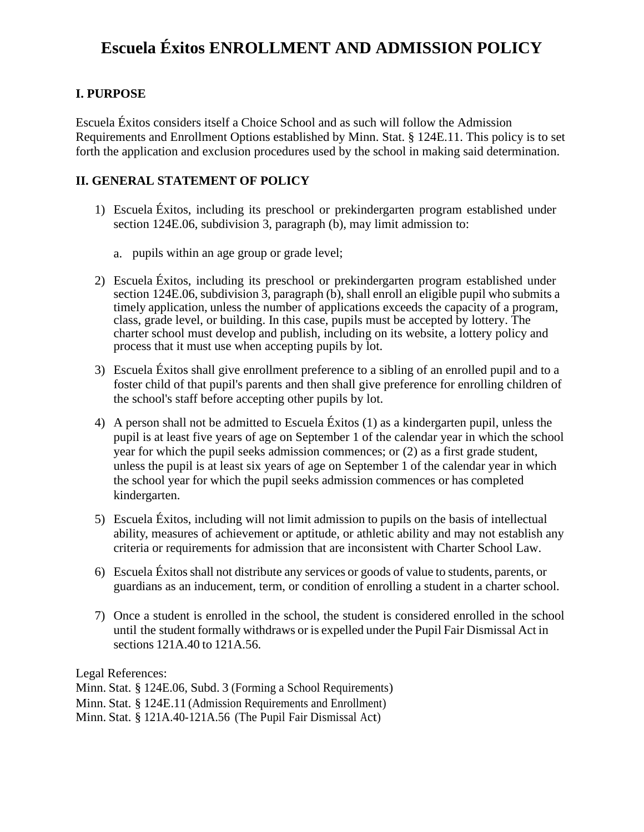## **Escuela Éxitos ENROLLMENT AND ADMISSION POLICY**

## **I. PURPOSE**

Escuela Éxitos considers itself a Choice School and as such will follow the Admission Requirements and Enrollment Options established by Minn. Stat. § 124E.11. This policy is to set forth the application and exclusion procedures used by the school in making said determination.

## **II. GENERAL STATEMENT OF POLICY**

- 1) Escuela Éxitos, including its preschool or prekindergarten program established under section 124E.06, subdivision 3, paragraph (b), may limit admission to:
	- a. pupils within an age group or grade level;
- 2) Escuela Éxitos, including its preschool or prekindergarten program established under section 124E.06, subdivision  $\overline{3}$ , paragraph (b), shall enroll an eligible pupil who submits a timely application, unless the number of applications exceeds the capacity of a program, class, grade level, or building. In this case, pupils must be accepted by lottery. The charter school must develop and publish, including on its website, a lottery policy and process that it must use when accepting pupils by lot.
- 3) Escuela Éxitos shall give enrollment preference to a sibling of an enrolled pupil and to a foster child of that pupil's parents and then shall give preference for enrolling children of the school's staff before accepting other pupils by lot.
- 4) A person shall not be admitted to Escuela Éxitos (1) as a kindergarten pupil, unless the pupil is at least five years of age on September 1 of the calendar year in which the school year for which the pupil seeks admission commences; or (2) as a first grade student, unless the pupil is at least six years of age on September 1 of the calendar year in which the school year for which the pupil seeks admission commences or has completed kindergarten.
- 5) Escuela Éxitos, including will not limit admission to pupils on the basis of intellectual ability, measures of achievement or aptitude, or athletic ability and may not establish any criteria or requirements for admission that are inconsistent with Charter School Law.
- 6) Escuela Éxitosshall not distribute any services or goods of value to students, parents, or guardians as an inducement, term, or condition of enrolling a student in a charter school.
- 7) Once a student is enrolled in the school, the student is considered enrolled in the school until the student formally withdraws or is expelled under the Pupil Fair Dismissal Act in sections 121A.40 to 121A.56.

Legal References:

Minn. Stat. § 124E.06, Subd. 3 (Forming a School Requirements) Minn. Stat. § 124E.11 (Admission Requirements and Enrollment) Minn. Stat. § 121A.40-121A.56 (The Pupil Fair Dismissal Act)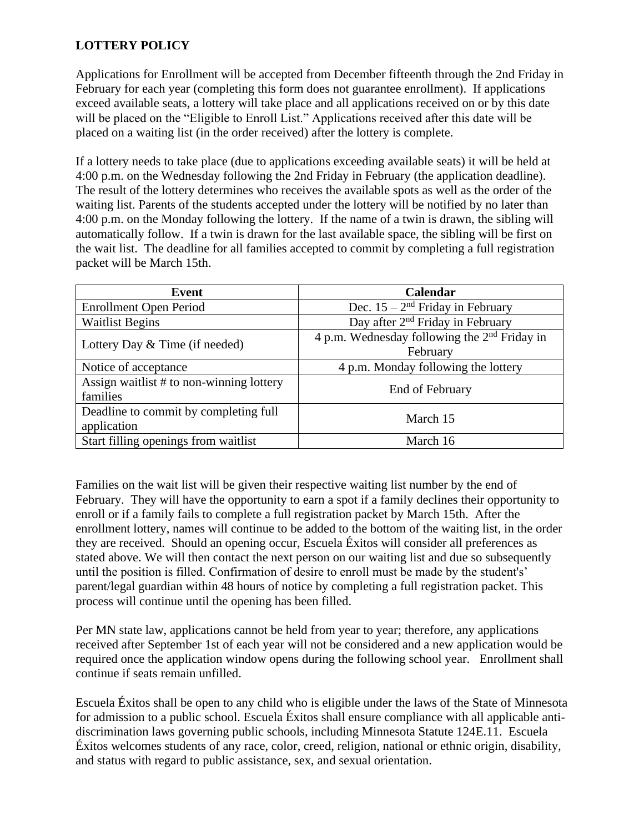## **LOTTERY POLICY**

Applications for Enrollment will be accepted from December fifteenth through the 2nd Friday in February for each year (completing this form does not guarantee enrollment). If applications exceed available seats, a lottery will take place and all applications received on or by this date will be placed on the "Eligible to Enroll List." Applications received after this date will be placed on a waiting list (in the order received) after the lottery is complete.

If a lottery needs to take place (due to applications exceeding available seats) it will be held at 4:00 p.m. on the Wednesday following the 2nd Friday in February (the application deadline). The result of the lottery determines who receives the available spots as well as the order of the waiting list. Parents of the students accepted under the lottery will be notified by no later than 4:00 p.m. on the Monday following the lottery. If the name of a twin is drawn, the sibling will automatically follow. If a twin is drawn for the last available space, the sibling will be first on the wait list. The deadline for all families accepted to commit by completing a full registration packet will be March 15th.

| Event                                                | Calendar                                                   |
|------------------------------------------------------|------------------------------------------------------------|
| <b>Enrollment Open Period</b>                        | Dec. $15 - 2^{nd}$ Friday in February                      |
| <b>Waitlist Begins</b>                               | Day after 2 <sup>nd</sup> Friday in February               |
| Lottery Day & Time (if needed)                       | 4 p.m. Wednesday following the $2nd$ Friday in<br>February |
| Notice of acceptance                                 | 4 p.m. Monday following the lottery                        |
| Assign waitlist # to non-winning lottery<br>families | End of February                                            |
| Deadline to commit by completing full<br>application | March 15                                                   |
| Start filling openings from waitlist                 | March 16                                                   |

Families on the wait list will be given their respective waiting list number by the end of February. They will have the opportunity to earn a spot if a family declines their opportunity to enroll or if a family fails to complete a full registration packet by March 15th. After the enrollment lottery, names will continue to be added to the bottom of the waiting list, in the order they are received. Should an opening occur, Escuela Éxitos will consider all preferences as stated above. We will then contact the next person on our waiting list and due so subsequently until the position is filled. Confirmation of desire to enroll must be made by the student's' parent/legal guardian within 48 hours of notice by completing a full registration packet. This process will continue until the opening has been filled.

Per MN state law, applications cannot be held from year to year; therefore, any applications received after September 1st of each year will not be considered and a new application would be required once the application window opens during the following school year. Enrollment shall continue if seats remain unfilled.

Escuela Éxitos shall be open to any child who is eligible under the laws of the State of Minnesota for admission to a public school. Escuela Éxitos shall ensure compliance with all applicable antidiscrimination laws governing public schools, including Minnesota Statute 124E.11. Escuela Éxitos welcomes students of any race, color, creed, religion, national or ethnic origin, disability, and status with regard to public assistance, sex, and sexual orientation.